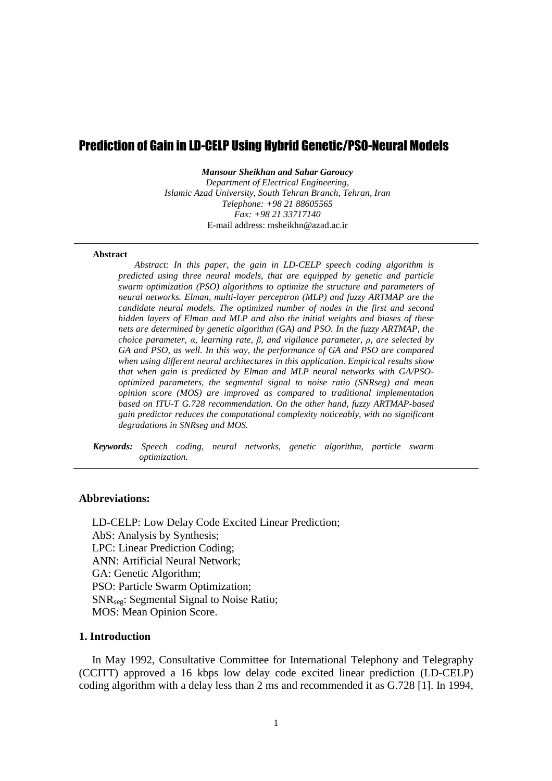# Prediction of Gain in LD-CELP Using Hybrid Genetic/PSO-Neural Models

*Mansour Sheikhan and Sahar Garoucy* 

*Department of Electrical Engineering, Islamic Azad University, South Tehran Branch, Tehran, Iran Telephone: +98 21 88605565 Fax: +98 21 33717140*  E-mail address: msheikhn@azad.ac.ir

### **Abstract**

*Abstract: In this paper, the gain in LD-CELP speech coding algorithm is predicted using three neural models, that are equipped by genetic and particle swarm optimization (PSO) algorithms to optimize the structure and parameters of neural networks. Elman, multi-layer perceptron (MLP) and fuzzy ARTMAP are the candidate neural models. The optimized number of nodes in the first and second hidden layers of Elman and MLP and also the initial weights and biases of these nets are determined by genetic algorithm (GA) and PSO. In the fuzzy ARTMAP, the choice parameter, α, learning rate, β, and vigilance parameter, ρ, are selected by GA and PSO, as well. In this way, the performance of GA and PSO are compared when using different neural architectures in this application. Empirical results show that when gain is predicted by Elman and MLP neural networks with GA/PSOoptimized parameters, the segmental signal to noise ratio (SNRseg) and mean opinion score (MOS) are improved as compared to traditional implementation based on ITU-T G.728 recommendation. On the other hand, fuzzy ARTMAP-based gain predictor reduces the computational complexity noticeably, with no significant degradations in SNRseg and MOS.* 

*Keywords: Speech coding, neural networks, genetic algorithm, particle swarm optimization.* 

### **Abbreviations:**

LD-CELP: Low Delay Code Excited Linear Prediction; AbS: Analysis by Synthesis; LPC: Linear Prediction Coding; ANN: Artificial Neural Network; GA: Genetic Algorithm; PSO: Particle Swarm Optimization; SNRseg: Segmental Signal to Noise Ratio; MOS: Mean Opinion Score.

# **1. Introduction**

In May 1992, Consultative Committee for International Telephony and Telegraphy (CCITT) approved a 16 kbps low delay code excited linear prediction (LD-CELP) coding algorithm with a delay less than 2 ms and recommended it as G.728 [1]. In 1994,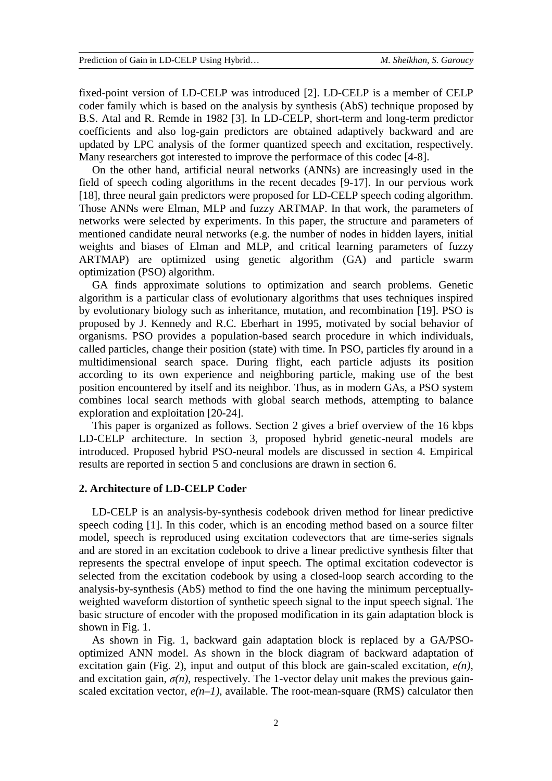fixed-point version of LD-CELP was introduced [2]. LD-CELP is a member of CELP coder family which is based on the analysis by synthesis (AbS) technique proposed by B.S. Atal and R. Remde in 1982 [3]. In LD-CELP, short-term and long-term predictor coefficients and also log-gain predictors are obtained adaptively backward and are updated by LPC analysis of the former quantized speech and excitation, respectively. Many researchers got interested to improve the performace of this codec [4-8].

On the other hand, artificial neural networks (ANNs) are increasingly used in the field of speech coding algorithms in the recent decades [9-17]. In our pervious work [18], three neural gain predictors were proposed for LD-CELP speech coding algorithm. Those ANNs were Elman, MLP and fuzzy ARTMAP. In that work, the parameters of networks were selected by experiments. In this paper, the structure and parameters of mentioned candidate neural networks (e.g. the number of nodes in hidden layers, initial weights and biases of Elman and MLP, and critical learning parameters of fuzzy ARTMAP) are optimized using genetic algorithm (GA) and particle swarm optimization (PSO) algorithm.

GA finds approximate solutions to optimization and search problems. Genetic algorithm is a particular class of evolutionary algorithms that uses techniques inspired by evolutionary biology such as inheritance, mutation, and recombination [19]. PSO is proposed by J. Kennedy and R.C. Eberhart in 1995, motivated by social behavior of organisms. PSO provides a population-based search procedure in which individuals, called particles, change their position (state) with time. In PSO, particles fly around in a multidimensional search space. During flight, each particle adjusts its position according to its own experience and neighboring particle, making use of the best position encountered by itself and its neighbor. Thus, as in modern GAs, a PSO system combines local search methods with global search methods, attempting to balance exploration and exploitation [20-24].

This paper is organized as follows. Section 2 gives a brief overview of the 16 kbps LD-CELP architecture. In section 3, proposed hybrid genetic-neural models are introduced. Proposed hybrid PSO-neural models are discussed in section 4. Empirical results are reported in section 5 and conclusions are drawn in section 6.

# **2. Architecture of LD-CELP Coder**

LD-CELP is an analysis-by-synthesis codebook driven method for linear predictive speech coding [1]. In this coder, which is an encoding method based on a source filter model, speech is reproduced using excitation codevectors that are time-series signals and are stored in an excitation codebook to drive a linear predictive synthesis filter that represents the spectral envelope of input speech. The optimal excitation codevector is selected from the excitation codebook by using a closed-loop search according to the analysis-by-synthesis (AbS) method to find the one having the minimum perceptuallyweighted waveform distortion of synthetic speech signal to the input speech signal. The basic structure of encoder with the proposed modification in its gain adaptation block is shown in Fig. 1.

As shown in Fig. 1, backward gain adaptation block is replaced by a GA/PSOoptimized ANN model. As shown in the block diagram of backward adaptation of excitation gain (Fig. 2), input and output of this block are gain-scaled excitation, *e(n)*, and excitation gain,  $\sigma(n)$ , respectively. The 1-vector delay unit makes the previous gainscaled excitation vector,  $e(n-1)$ , available. The root-mean-square (RMS) calculator then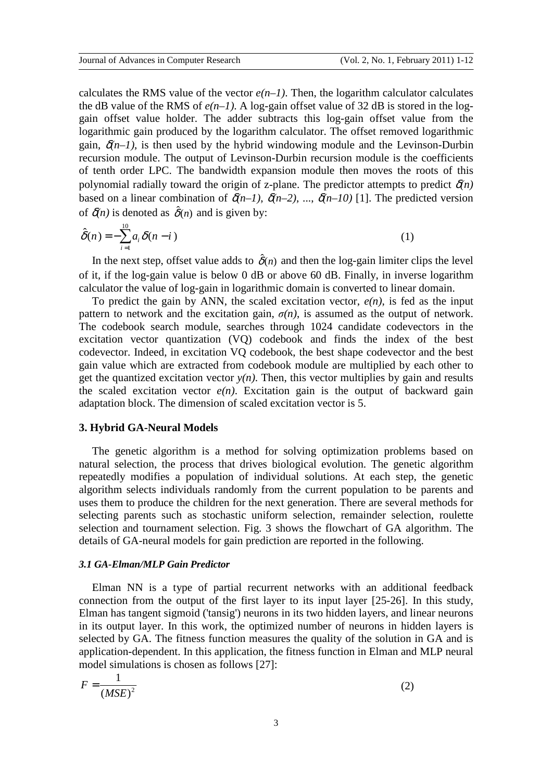calculates the RMS value of the vector  $e(n-1)$ . Then, the logarithm calculator calculates the dB value of the RMS of  $e(n-1)$ . A log-gain offset value of 32 dB is stored in the loggain offset value holder. The adder subtracts this log-gain offset value from the logarithmic gain produced by the logarithm calculator. The offset removed logarithmic gain,  $\delta(n-1)$ , is then used by the hybrid windowing module and the Levinson-Durbin recursion module. The output of Levinson-Durbin recursion module is the coefficients of tenth order LPC. The bandwidth expansion module then moves the roots of this polynomial radially toward the origin of z-plane. The predictor attempts to predict  $\delta(n)$ based on a linear combination of  $\delta(n-1)$ ,  $\delta(n-2)$ , ...,  $\delta(n-10)$  [1]. The predicted version of  $\delta(n)$  is denoted as  $\hat{\delta}(n)$  and is given by:

$$
\hat{\delta}(n) = -\sum_{i=1}^{10} a_i \delta(n-i)
$$
 (1)

In the next step, offset value adds to  $\hat{\delta}(n)$  and then the log-gain limiter clips the level of it, if the log-gain value is below 0 dB or above 60 dB. Finally, in inverse logarithm calculator the value of log-gain in logarithmic domain is converted to linear domain.

To predict the gain by ANN, the scaled excitation vector, *e(n)*, is fed as the input pattern to network and the excitation gain,  $\sigma(n)$ , is assumed as the output of network. The codebook search module, searches through 1024 candidate codevectors in the excitation vector quantization (VQ) codebook and finds the index of the best codevector. Indeed, in excitation VQ codebook, the best shape codevector and the best gain value which are extracted from codebook module are multiplied by each other to get the quantized excitation vector  $y(n)$ . Then, this vector multiplies by gain and results the scaled excitation vector  $e(n)$ . Excitation gain is the output of backward gain adaptation block. The dimension of scaled excitation vector is 5.

# **3. Hybrid GA-Neural Models**

The genetic algorithm is a method for solving optimization problems based on natural selection, the process that drives biological evolution. The genetic algorithm repeatedly modifies a population of individual solutions. At each step, the genetic algorithm selects individuals randomly from the current population to be parents and uses them to produce the children for the next generation. There are several methods for selecting parents such as stochastic uniform selection, remainder selection, roulette selection and tournament selection. Fig. 3 shows the flowchart of GA algorithm. The details of GA-neural models for gain prediction are reported in the following.

#### *3.1 GA-Elman/MLP Gain Predictor*

Elman NN is a type of partial recurrent networks with an additional feedback connection from the output of the first layer to its input layer [25-26]. In this study, Elman has tangent sigmoid ('tansig') neurons in its two hidden layers, and linear neurons in its output layer. In this work, the optimized number of neurons in hidden layers is selected by GA. The fitness function measures the quality of the solution in GA and is application-dependent. In this application, the fitness function in Elman and MLP neural model simulations is chosen as follows [27]:

$$
F = \frac{1}{\left(MSE\right)^2} \tag{2}
$$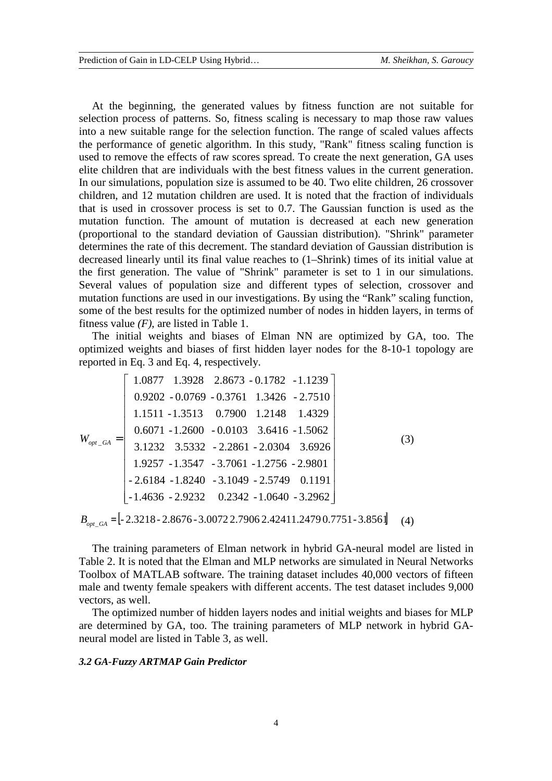At the beginning, the generated values by fitness function are not suitable for selection process of patterns. So, fitness scaling is necessary to map those raw values into a new suitable range for the selection function. The range of scaled values affects the performance of genetic algorithm. In this study, "Rank" fitness scaling function is used to remove the effects of raw scores spread. To create the next generation, GA uses elite children that are individuals with the best fitness values in the current generation. In our simulations, population size is assumed to be 40. Two elite children, 26 crossover children, and 12 mutation children are used. It is noted that the fraction of individuals that is used in crossover process is set to 0.7. The Gaussian function is used as the mutation function. The amount of mutation is decreased at each new generation (proportional to the standard deviation of Gaussian distribution). "Shrink" parameter determines the rate of this decrement. The standard deviation of Gaussian distribution is decreased linearly until its final value reaches to (1–Shrink) times of its initial value at the first generation. The value of "Shrink" parameter is set to 1 in our simulations. Several values of population size and different types of selection, crossover and mutation functions are used in our investigations. By using the "Rank" scaling function, some of the best results for the optimized number of nodes in hidden layers, in terms of fitness value *(F)*, are listed in Table 1.

The initial weights and biases of Elman NN are optimized by GA, too. The optimized weights and biases of first hidden layer nodes for the 8-10-1 topology are reported in Eq. 3 and Eq. 4, respectively.

$$
W_{opt_GA} = \begin{bmatrix} 1.0877 & 1.3928 & 2.8673 - 0.1782 & -1.1239 \\ 0.9202 - 0.0769 - 0.3761 & 1.3426 & -2.7510 \\ 1.1511 - 1.3513 & 0.7900 & 1.2148 & 1.4329 \\ 0.6071 - 1.2600 & -0.0103 & 3.6416 & -1.5062 \\ 3.1232 & 3.5332 & -2.2861 - 2.0304 & 3.6926 \\ 1.9257 - 1.3547 & -3.7061 - 1.2756 & -2.9801 \\ -2.6184 - 1.8240 & -3.1049 - 2.5749 & 0.1191 \\ -1.4636 - 2.9232 & 0.2342 - 1.0640 & -3.2962 \end{bmatrix}
$$
(3)

 $B_{\text{opt, GA}} = [-2.3218 - 2.8676 - 3.0072 \, 2.7906 \, 2.42411.2479 \, 0.7751 - 3.856]$  (4)

The training parameters of Elman network in hybrid GA-neural model are listed in Table 2. It is noted that the Elman and MLP networks are simulated in Neural Networks Toolbox of MATLAB software. The training dataset includes 40,000 vectors of fifteen male and twenty female speakers with different accents. The test dataset includes 9,000 vectors, as well.

The optimized number of hidden layers nodes and initial weights and biases for MLP are determined by GA, too. The training parameters of MLP network in hybrid GAneural model are listed in Table 3, as well.

#### *3.2 GA-Fuzzy ARTMAP Gain Predictor*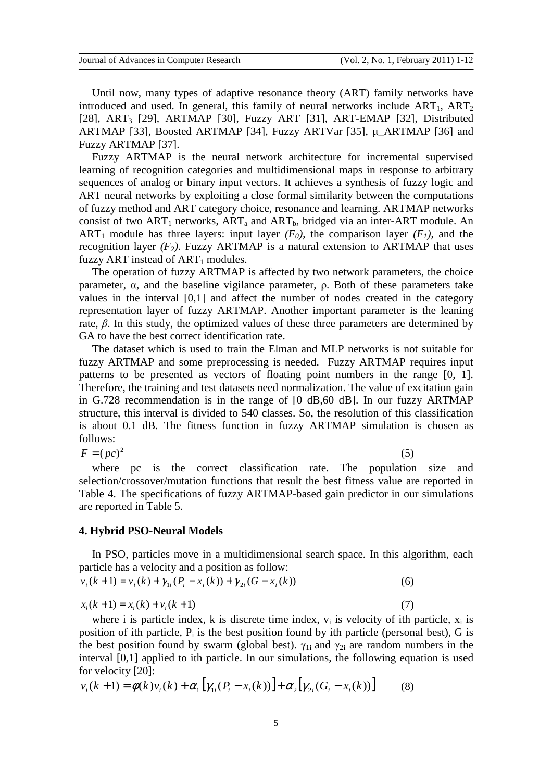Until now, many types of adaptive resonance theory (ART) family networks have introduced and used. In general, this family of neural networks include  $ART_1$ ,  $ART_2$ [28], ART<sub>3</sub> [29], ARTMAP [30], Fuzzy ART [31], ART-EMAP [32], Distributed ARTMAP [33], Boosted ARTMAP [34], Fuzzy ARTVar [35], µ\_ARTMAP [36] and Fuzzy ARTMAP [37].

Fuzzy ARTMAP is the neural network architecture for incremental supervised learning of recognition categories and multidimensional maps in response to arbitrary sequences of analog or binary input vectors. It achieves a synthesis of fuzzy logic and ART neural networks by exploiting a close formal similarity between the computations of fuzzy method and ART category choice, resonance and learning. ARTMAP networks consist of two  $ART_1$  networks,  $ART_a$  and  $ART_b$ , bridged via an inter-ART module. An ART<sub>1</sub> module has three layers: input layer  $(F_0)$ , the comparison layer  $(F_1)$ , and the recognition layer  $(F_2)$ . Fuzzy ARTMAP is a natural extension to ARTMAP that uses fuzzy ART instead of  $ART_1$  modules.

The operation of fuzzy ARTMAP is affected by two network parameters, the choice parameter, α, and the baseline vigilance parameter, ρ. Both of these parameters take values in the interval [0,1] and affect the number of nodes created in the category representation layer of fuzzy ARTMAP. Another important parameter is the leaning rate,  $β$ . In this study, the optimized values of these three parameters are determined by GA to have the best correct identification rate.

The dataset which is used to train the Elman and MLP networks is not suitable for fuzzy ARTMAP and some preprocessing is needed. Fuzzy ARTMAP requires input patterns to be presented as vectors of floating point numbers in the range [0, 1]. Therefore, the training and test datasets need normalization. The value of excitation gain in G.728 recommendation is in the range of [0 dB,60 dB]. In our fuzzy ARTMAP structure, this interval is divided to 540 classes. So, the resolution of this classification is about 0.1 dB. The fitness function in fuzzy ARTMAP simulation is chosen as follows:

$$
F = (pc)^2 \tag{5}
$$

where pc is the correct classification rate. The population size and selection/crossover/mutation functions that result the best fitness value are reported in Table 4. The specifications of fuzzy ARTMAP-based gain predictor in our simulations are reported in Table 5.

#### **4. Hybrid PSO-Neural Models**

In PSO, particles move in a multidimensional search space. In this algorithm, each particle has a velocity and a position as follow:

$$
v_i(k+1) = v_i(k) + \gamma_{1i}(P_i - x_i(k)) + \gamma_{2i}(G - x_i(k))
$$
\n(6)

$$
x_i(k+1) = x_i(k) + v_i(k+1)
$$
\n(7)

where i is particle index, k is discrete time index,  $v_i$  is velocity of ith particle,  $x_i$  is position of ith particle,  $P_i$  is the best position found by ith particle (personal best), G is the best position found by swarm (global best).  $\gamma_{1i}$  and  $\gamma_{2i}$  are random numbers in the interval [0,1] applied to ith particle. In our simulations, the following equation is used for velocity [20]:

$$
v_i(k+1) = \phi(k)v_i(k) + \alpha_1 \left[ \gamma_{1i}(P_i - x_i(k)) \right] + \alpha_2 \left[ \gamma_{2i}(G_i - x_i(k)) \right] \tag{8}
$$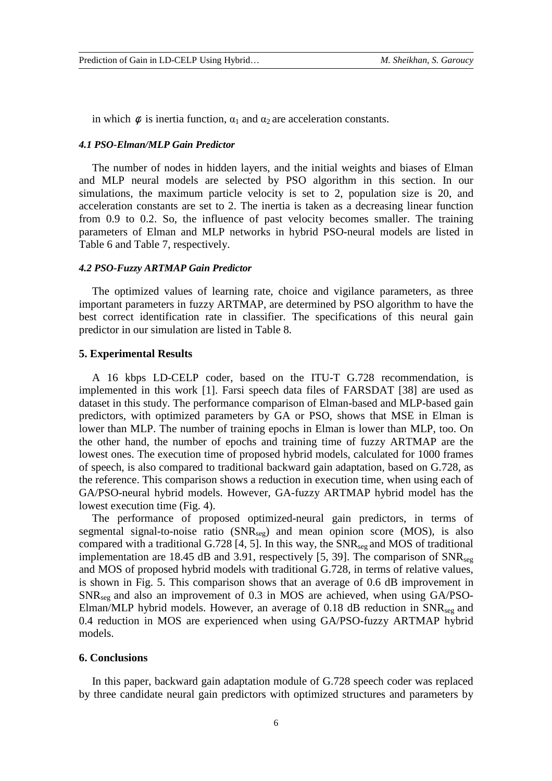in which  $\phi$  is inertia function,  $\alpha_1$  and  $\alpha_2$  are acceleration constants.

### *4.1 PSO-Elman/MLP Gain Predictor*

The number of nodes in hidden layers, and the initial weights and biases of Elman and MLP neural models are selected by PSO algorithm in this section. In our simulations, the maximum particle velocity is set to 2, population size is 20, and acceleration constants are set to 2. The inertia is taken as a decreasing linear function from 0.9 to 0.2. So, the influence of past velocity becomes smaller. The training parameters of Elman and MLP networks in hybrid PSO-neural models are listed in Table 6 and Table 7, respectively.

## *4.2 PSO-Fuzzy ARTMAP Gain Predictor*

The optimized values of learning rate, choice and vigilance parameters, as three important parameters in fuzzy ARTMAP, are determined by PSO algorithm to have the best correct identification rate in classifier. The specifications of this neural gain predictor in our simulation are listed in Table 8.

#### **5. Experimental Results**

A 16 kbps LD-CELP coder, based on the ITU-T G.728 recommendation, is implemented in this work [1]. Farsi speech data files of FARSDAT [38] are used as dataset in this study. The performance comparison of Elman-based and MLP-based gain predictors, with optimized parameters by GA or PSO, shows that MSE in Elman is lower than MLP. The number of training epochs in Elman is lower than MLP, too. On the other hand, the number of epochs and training time of fuzzy ARTMAP are the lowest ones. The execution time of proposed hybrid models, calculated for 1000 frames of speech, is also compared to traditional backward gain adaptation, based on G.728, as the reference. This comparison shows a reduction in execution time, when using each of GA/PSO-neural hybrid models. However, GA-fuzzy ARTMAP hybrid model has the lowest execution time (Fig. 4).

The performance of proposed optimized-neural gain predictors, in terms of segmental signal-to-noise ratio  $(SNR_{seg})$  and mean opinion score (MOS), is also compared with a traditional G.728 [4, 5]. In this way, the  $SNR_{\text{see}}$  and MOS of traditional implementation are 18.45 dB and 3.91, respectively [5, 39]. The comparison of  $SNR_{\text{see}}$ and MOS of proposed hybrid models with traditional G.728, in terms of relative values, is shown in Fig. 5. This comparison shows that an average of 0.6 dB improvement in  $SNR_{\text{see}}$  and also an improvement of 0.3 in MOS are achieved, when using GA/PSO-Elman/MLP hybrid models. However, an average of 0.18 dB reduction in  $SNR_{\text{see}}$  and 0.4 reduction in MOS are experienced when using GA/PSO-fuzzy ARTMAP hybrid models.

# **6. Conclusions**

In this paper, backward gain adaptation module of G.728 speech coder was replaced by three candidate neural gain predictors with optimized structures and parameters by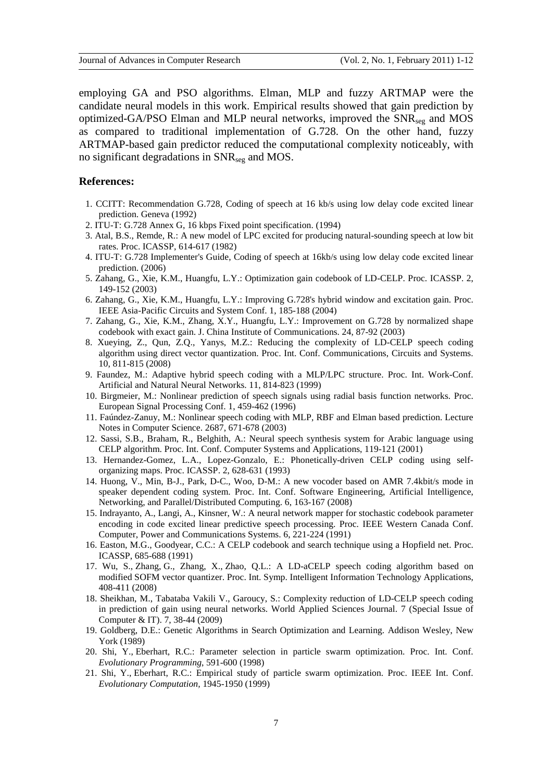employing GA and PSO algorithms. Elman, MLP and fuzzy ARTMAP were the candidate neural models in this work. Empirical results showed that gain prediction by optimized-GA/PSO Elman and MLP neural networks, improved the SNR<sub>seg</sub> and MOS as compared to traditional implementation of G.728. On the other hand, fuzzy ARTMAP-based gain predictor reduced the computational complexity noticeably, with no significant degradations in SNRseg and MOS.

### **References:**

- 1. CCITT: Recommendation G.728, Coding of speech at 16 kb/s using low delay code excited linear prediction. Geneva (1992)
- 2. ITU-T: G.728 Annex G, 16 kbps Fixed point specification. (1994)
- 3. Atal, B.S., Remde, R.: A new model of LPC excited for producing natural-sounding speech at low bit rates. Proc. ICASSP, 614-617 (1982)
- 4. ITU-T: G.728 Implementer's Guide, Coding of speech at 16kb/s using low delay code excited linear prediction. (2006)
- 5. Zahang, G., Xie, K.M., Huangfu, L.Y.: Optimization gain codebook of LD-CELP. Proc. ICASSP. 2, 149-152 (2003)
- 6. Zahang, G., Xie, K.M., Huangfu, L.Y.: Improving G.728's hybrid window and excitation gain. Proc. IEEE Asia-Pacific Circuits and System Conf. 1, 185-188 (2004)
- 7. Zahang, G., Xie, K.M., Zhang, X.Y., Huangfu, L.Y.: Improvement on G.728 by normalized shape codebook with exact gain. J. China Institute of Communications. 24, 87-92 (2003)
- 8. Xueying, Z., Qun, Z.Q., Yanys, M.Z.: Reducing the complexity of LD-CELP speech coding algorithm using direct vector quantization. Proc. Int. Conf. Communications, Circuits and Systems. 10, 811-815 (2008)
- 9. Faundez, M.: Adaptive hybrid speech coding with a MLP/LPC structure. Proc. Int. Work-Conf. Artificial and Natural Neural Networks. 11, 814-823 (1999)
- 10. Birgmeier, M.: Nonlinear prediction of speech signals using radial basis function networks. Proc. European Signal Processing Conf. 1, 459-462 (1996)
- 11. Faúndez-Zanuy, M.: Nonlinear speech coding with MLP, RBF and Elman based prediction. Lecture Notes in Computer Science. 2687, 671-678 (2003)
- 12. Sassi, S.B., Braham, R., Belghith, A.: Neural speech synthesis system for Arabic language using CELP algorithm. Proc. Int. Conf. Computer Systems and Applications, 119-121 (2001)
- 13. Hernandez-Gomez, L.A., Lopez-Gonzalo, E.: Phonetically-driven CELP coding using selforganizing maps. Proc. ICASSP. 2, 628-631 (1993)
- 14. Huong, V., Min, B-J., Park, D-C., Woo, D-M.: A new vocoder based on AMR 7.4kbit/s mode in speaker dependent coding system. Proc. Int. Conf. Software Engineering, Artificial Intelligence, Networking, and Parallel/Distributed Computing. 6, 163-167 (2008)
- 15. Indrayanto, A., Langi, A., Kinsner, W.: A neural network mapper for stochastic codebook parameter encoding in code excited linear predictive speech processing. Proc. IEEE Western Canada Conf. Computer, Power and Communications Systems. 6, 221-224 (1991)
- 16. Easton, M.G., Goodyear, C.C.: A CELP codebook and search technique using a Hopfield net. Proc. ICASSP, 685-688 (1991)
- 17. Wu, S., Zhang, G., Zhang, X., Zhao, Q.L.: A LD-aCELP speech coding algorithm based on modified SOFM vector quantizer. Proc. Int. Symp. Intelligent Information Technology Applications, 408-411 (2008)
- 18. Sheikhan, M., Tabataba Vakili V., Garoucy, S.: Complexity reduction of LD-CELP speech coding in prediction of gain using neural networks. World Applied Sciences Journal. 7 (Special Issue of Computer & IT). 7, 38-44 (2009)
- 19. Goldberg, D.E.: Genetic Algorithms in Search Optimization and Learning. Addison Wesley, New York (1989)
- 20. Shi, Y., Eberhart, R.C.: Parameter selection in particle swarm optimization. Proc. Int. Conf. *Evolutionary Programming*, 591-600 (1998)
- 21. Shi, Y., Eberhart, R.C.: Empirical study of particle swarm optimization. Proc. IEEE Int. Conf. *Evolutionary Computation,* 1945-1950 (1999)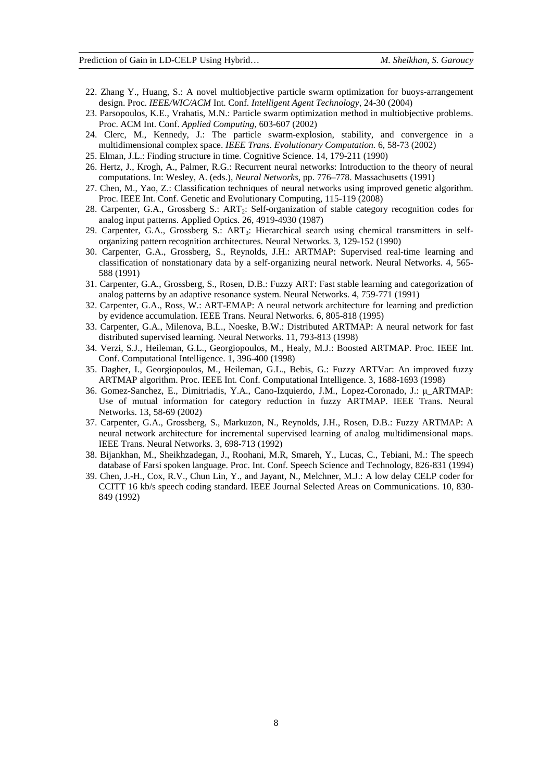- 22. Zhang Y., Huang, S.: A novel multiobjective particle swarm optimization for buoys-arrangement design. Proc. *IEEE/WIC/ACM* Int. Conf. *Intelligent Agent Technology*, 24-30 (2004)
- 23. Parsopoulos, K.E., Vrahatis, M.N.: Particle swarm optimization method in multiobjective problems. Proc. ACM Int. Conf. *Applied Computing,* 603-607 (2002)
- 24. Clerc, M., Kennedy, J.: The particle swarm-explosion, stability, and convergence in a multidimensional complex space. *IEEE Trans. Evolutionary Computation.* 6, 58-73 (2002)
- 25. Elman, J.L.: Finding structure in time. Cognitive Science. 14, 179-211 (1990)
- 26. Hertz, J., Krogh, A., Palmer, R.G.: Recurrent neural networks: Introduction to the theory of neural computations. In: Wesley, A. (eds.), *Neural Networks*, pp. 776–778. Massachusetts (1991)
- 27. Chen, M., Yao, Z.: Classification techniques of neural networks using improved genetic algorithm. Proc. IEEE Int. Conf. Genetic and Evolutionary Computing, 115-119 (2008)
- 28. Carpenter, G.A., Grossberg S.: ART<sub>2</sub>: Self-organization of stable category recognition codes for analog input patterns. Applied Optics. 26, 4919-4930 (1987)
- 29. Carpenter, G.A., Grossberg S.: ART<sub>3</sub>: Hierarchical search using chemical transmitters in selforganizing pattern recognition architectures. Neural Networks. 3, 129-152 (1990)
- 30. Carpenter, G.A., Grossberg, S., Reynolds, J.H.: ARTMAP: Supervised real-time learning and classification of nonstationary data by a self-organizing neural network. Neural Networks. 4, 565- 588 (1991)
- 31. Carpenter, G.A., Grossberg, S., Rosen, D.B.: Fuzzy ART: Fast stable learning and categorization of analog patterns by an adaptive resonance system. Neural Networks. 4, 759-771 (1991)
- 32. Carpenter, G.A., Ross, W.: ART-EMAP: A neural network architecture for learning and prediction by evidence accumulation. IEEE Trans. Neural Networks. 6, 805-818 (1995)
- 33. Carpenter, G.A., Milenova, B.L., Noeske, B.W.: Distributed ARTMAP: A neural network for fast distributed supervised learning. Neural Networks. 11, 793-813 (1998)
- 34. Verzi, S.J., Heileman, G.L., Georgiopoulos, M., Healy, M.J.: Boosted ARTMAP. Proc. IEEE Int. Conf. Computational Intelligence. 1, 396-400 (1998)
- 35. Dagher, I., Georgiopoulos, M., Heileman, G.L., Bebis, G.: Fuzzy ARTVar: An improved fuzzy ARTMAP algorithm. Proc. IEEE Int. Conf. Computational Intelligence. 3, 1688-1693 (1998)
- 36. Gomez-Sanchez, E., Dimitriadis, Y.A., Cano-Izquierdo, J.M., Lopez-Coronado, J.: µ\_ARTMAP: Use of mutual information for category reduction in fuzzy ARTMAP. IEEE Trans. Neural Networks. 13, 58-69 (2002)
- 37. Carpenter, G.A., Grossberg, S., Markuzon, N., Reynolds, J.H., Rosen, D.B.: Fuzzy ARTMAP: A neural network architecture for incremental supervised learning of analog multidimensional maps. IEEE Trans. Neural Networks. 3, 698-713 (1992)
- 38. Bijankhan, M., Sheikhzadegan, J., Roohani, M.R, Smareh, Y., Lucas, C., Tebiani, M.: The speech database of Farsi spoken language. Proc. Int. Conf. Speech Science and Technology, 826-831 (1994)
- 39. Chen, J.-H., Cox, R.V., Chun Lin, Y., and Jayant, N., Melchner, M.J.: A low delay CELP coder for CCITT 16 kb/s speech coding standard. IEEE Journal Selected Areas on Communications. 10, 830- 849 (1992)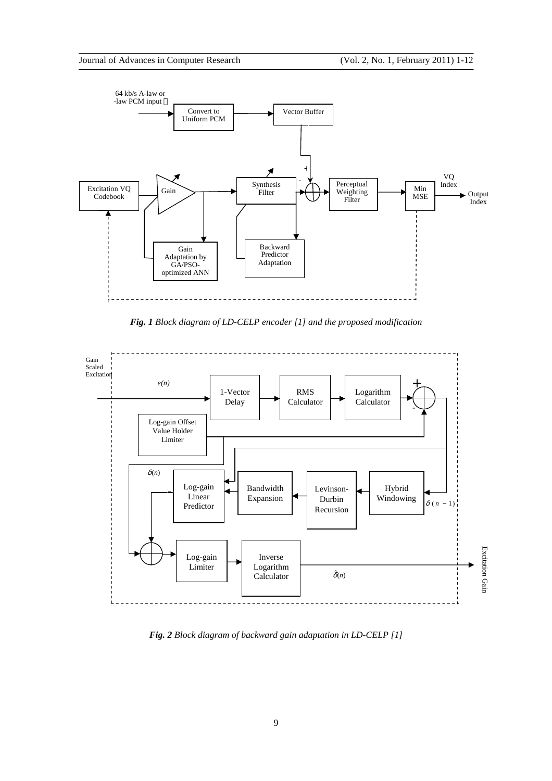

*Fig. 1 Block diagram of LD-CELP encoder [1] and the proposed modification* 



*Fig. 2 Block diagram of backward gain adaptation in LD-CELP [1]*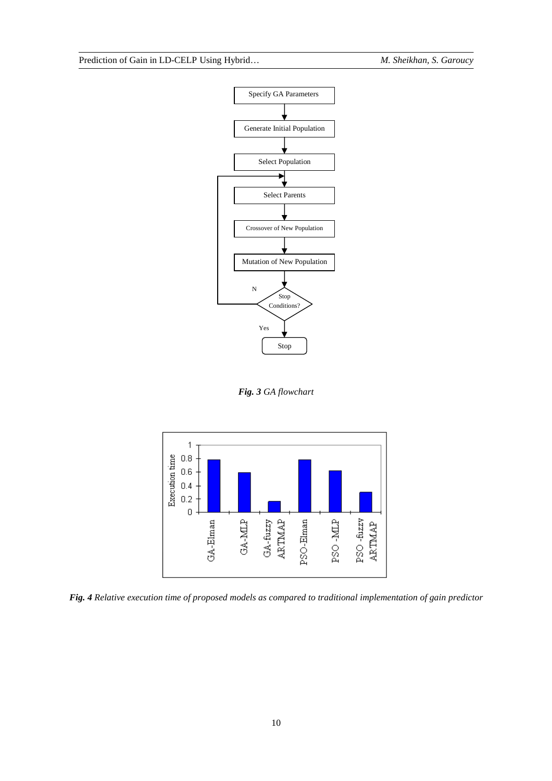

*Fig. 3 GA flowchart* 



*Fig. 4 Relative execution time of proposed models as compared to traditional implementation of gain predictor*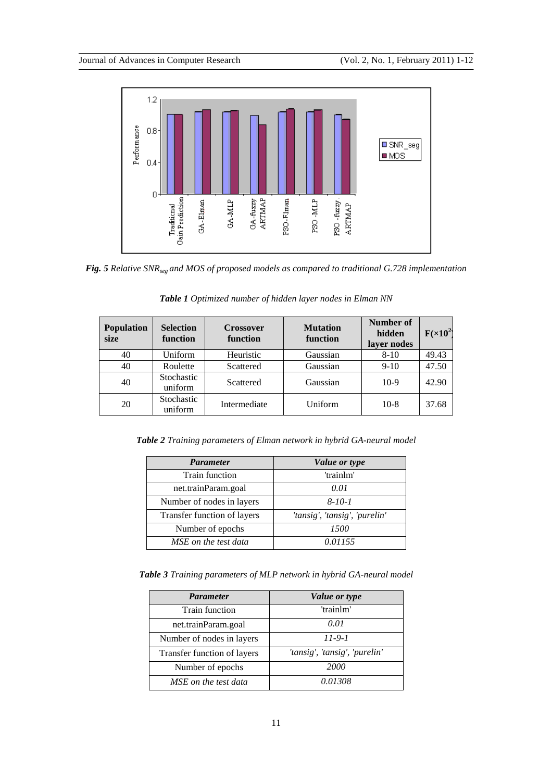

*Fig. 5 Relative SNRseg and MOS of proposed models as compared to traditional G.728 implementation*

| <b>Population</b><br>size | <b>Selection</b><br>function | <b>Crossover</b><br>function | <b>Mutation</b><br>function | Number of<br>hidden<br>layer nodes | $F(\times 10^2)$ |
|---------------------------|------------------------------|------------------------------|-----------------------------|------------------------------------|------------------|
| 40                        | Uniform                      | Heuristic                    | Gaussian                    | $8 - 10$                           | 49.43            |
| 40                        | Roulette                     | Scattered                    | Gaussian                    | $9-10$                             | 47.50            |
| 40                        | Stochastic<br>uniform        | Scattered                    | Gaussian                    | $10-9$                             | 42.90            |
| 20                        | Stochastic<br>uniform        | Intermediate                 | Uniform                     | $10-8$                             | 37.68            |

*Table 1 Optimized number of hidden layer nodes in Elman NN*

*Table 2 Training parameters of Elman network in hybrid GA-neural model* 

| <b>Parameter</b>            | Value or type                 |
|-----------------------------|-------------------------------|
| <b>Train function</b>       | 'trainlm'                     |
| net.trainParam.goal         | 0.01                          |
| Number of nodes in layers   | $8 - 10 - 1$                  |
| Transfer function of layers | 'tansig', 'tansig', 'purelin' |
| Number of epochs            | 1500                          |
| MSE on the test data        | 0.01155                       |

*Table 3 Training parameters of MLP network in hybrid GA-neural model* 

| <b>Parameter</b>            | Value or type                 |
|-----------------------------|-------------------------------|
| <b>Train function</b>       | 'trainlm'                     |
| net.trainParam.goal         | 0.01                          |
| Number of nodes in layers   | $11 - 9 - 1$                  |
| Transfer function of layers | 'tansig', 'tansig', 'purelin' |
| Number of epochs            | <b>2000</b>                   |
| MSE on the test data        | 0.01308                       |